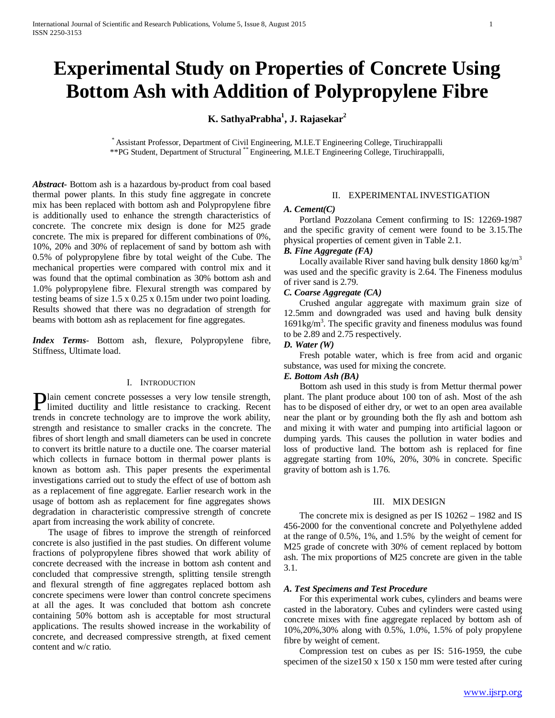# **Experimental Study on Properties of Concrete Using Bottom Ash with Addition of Polypropylene Fibre**

**K. SathyaPrabha1 , J. Rajasekar2**

\* Assistant Professor, Department of Civil Engineering, M.I.E.T Engineering College, Tiruchirappalli \*\*PG Student, Department of Structural \*\* Engineering, M.I.E.T Engineering College, Tiruchirappalli,

*Abstract***-** Bottom ash is a hazardous by-product from coal based thermal power plants. In this study fine aggregate in concrete mix has been replaced with bottom ash and Polypropylene fibre is additionally used to enhance the strength characteristics of concrete. The concrete mix design is done for M25 grade concrete. The mix is prepared for different combinations of 0%, 10%, 20% and 30% of replacement of sand by bottom ash with 0.5% of polypropylene fibre by total weight of the Cube. The mechanical properties were compared with control mix and it was found that the optimal combination as 30% bottom ash and 1.0% polypropylene fibre. Flexural strength was compared by testing beams of size 1.5 x 0.25 x 0.15m under two point loading. Results showed that there was no degradation of strength for beams with bottom ash as replacement for fine aggregates.

*Index Terms*- Bottom ash, flexure, Polypropylene fibre, Stiffness, Ultimate load.

#### I. INTRODUCTION

lain cement concrete possesses a very low tensile strength, **Plain cement concrete possesses a very low tensile strength,**<br>limited ductility and little resistance to cracking. Recent trends in concrete technology are to improve the work ability, strength and resistance to smaller cracks in the concrete. The fibres of short length and small diameters can be used in concrete to convert its brittle nature to a ductile one. The coarser material which collects in furnace bottom in thermal power plants is known as bottom ash. This paper presents the experimental investigations carried out to study the effect of use of bottom ash as a replacement of fine aggregate. Earlier research work in the usage of bottom ash as replacement for fine aggregates shows degradation in characteristic compressive strength of concrete apart from increasing the work ability of concrete.

 The usage of fibres to improve the strength of reinforced concrete is also justified in the past studies. On different volume fractions of polypropylene fibres showed that work ability of concrete decreased with the increase in bottom ash content and concluded that compressive strength, splitting tensile strength and flexural strength of fine aggregates replaced bottom ash concrete specimens were lower than control concrete specimens at all the ages. It was concluded that bottom ash concrete containing 50% bottom ash is acceptable for most structural applications. The results showed increase in the workability of concrete, and decreased compressive strength, at fixed cement content and w/c ratio.

## II. EXPERIMENTAL INVESTIGATION

## *A. Cement(C)*

 Portland Pozzolana Cement confirming to IS: 12269-1987 and the specific gravity of cement were found to be 3.15.The physical properties of cement given in Table 2.1.

### *B. Fine Aggregate (FA)*

Locally available River sand having bulk density  $1860 \text{ kg/m}^3$ was used and the specific gravity is 2.64. The Fineness modulus of river sand is 2.79.

## *C. Coarse Aggregate (CA)*

 Crushed angular aggregate with maximum grain size of 12.5mm and downgraded was used and having bulk density 1691kg/m<sup>3</sup>. The specific gravity and fineness modulus was found to be 2.89 and 2.75 respectively.

#### *D. Water (W)*

 Fresh potable water, which is free from acid and organic substance, was used for mixing the concrete.

#### *E. Bottom Ash (BA)*

 Bottom ash used in this study is from Mettur thermal power plant. The plant produce about 100 ton of ash. Most of the ash has to be disposed of either dry, or wet to an open area available near the plant or by grounding both the fly ash and bottom ash and mixing it with water and pumping into artificial lagoon or dumping yards. This causes the pollution in water bodies and loss of productive land. The bottom ash is replaced for fine aggregate starting from 10%, 20%, 30% in concrete. Specific gravity of bottom ash is 1.76.

# III. MIX DESIGN

 The concrete mix is designed as per IS 10262 – 1982 and IS 456-2000 for the conventional concrete and Polyethylene added at the range of 0.5%, 1%, and 1.5% by the weight of cement for M25 grade of concrete with 30% of cement replaced by bottom ash. The mix proportions of M25 concrete are given in the table 3.1.

#### *A. Test Specimens and Test Procedure*

 For this experimental work cubes, cylinders and beams were casted in the laboratory. Cubes and cylinders were casted using concrete mixes with fine aggregate replaced by bottom ash of 10%,20%,30% along with 0.5%, 1.0%, 1.5% of poly propylene fibre by weight of cement.

 Compression test on cubes as per IS: 516-1959, the cube specimen of the size150 x 150 x 150 mm were tested after curing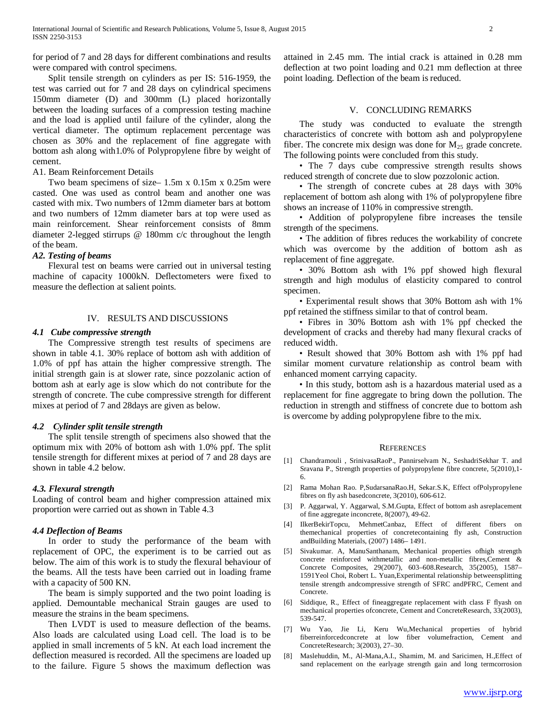for period of 7 and 28 days for different combinations and results were compared with control specimens.

 Split tensile strength on cylinders as per IS: 516-1959, the test was carried out for 7 and 28 days on cylindrical specimens 150mm diameter (D) and 300mm (L) placed horizontally between the loading surfaces of a compression testing machine and the load is applied until failure of the cylinder, along the vertical diameter. The optimum replacement percentage was chosen as 30% and the replacement of fine aggregate with bottom ash along with1.0% of Polypropylene fibre by weight of cement.

#### A1. Beam Reinforcement Details

 Two beam specimens of size– 1.5m x 0.15m x 0.25m were casted. One was used as control beam and another one was casted with mix. Two numbers of 12mm diameter bars at bottom and two numbers of 12mm diameter bars at top were used as main reinforcement. Shear reinforcement consists of 8mm diameter 2-legged stirrups @ 180mm c/c throughout the length of the beam.

# *A2. Testing of beams*

 Flexural test on beams were carried out in universal testing machine of capacity 1000kN. Deflectometers were fixed to measure the deflection at salient points.

## IV. RESULTS AND DISCUSSIONS

## *4.1 Cube compressive strength*

 The Compressive strength test results of specimens are shown in table 4.1. 30% replace of bottom ash with addition of 1.0% of ppf has attain the higher compressive strength. The initial strength gain is at slower rate, since pozzolanic action of bottom ash at early age is slow which do not contribute for the strength of concrete. The cube compressive strength for different mixes at period of 7 and 28days are given as below.

# *4.2 Cylinder split tensile strength*

 The split tensile strength of specimens also showed that the optimum mix with 20% of bottom ash with 1.0% ppf. The split tensile strength for different mixes at period of 7 and 28 days are shown in table 4.2 below.

# *4.3. Flexural strength*

Loading of control beam and higher compression attained mix proportion were carried out as shown in Table 4.3

#### *4.4 Deflection of Beams*

 In order to study the performance of the beam with replacement of OPC, the experiment is to be carried out as below. The aim of this work is to study the flexural behaviour of the beams. All the tests have been carried out in loading frame with a capacity of 500 KN.

 The beam is simply supported and the two point loading is applied. Demountable mechanical Strain gauges are used to measure the strains in the beam specimens.

 Then LVDT is used to measure deflection of the beams. Also loads are calculated using Load cell. The load is to be applied in small increments of 5 kN. At each load increment the deflection measured is recorded. All the specimens are loaded up to the failure. Figure 5 shows the maximum deflection was attained in 2.45 mm. The intial crack is attained in 0.28 mm deflection at two point loading and 0.21 mm deflection at three point loading. Deflection of the beam is reduced.

## V. CONCLUDING REMARKS

 The study was conducted to evaluate the strength characteristics of concrete with bottom ash and polypropylene fiber. The concrete mix design was done for  $M_{25}$  grade concrete. The following points were concluded from this study.

 • The 7 days cube compressive strength results shows reduced strength of concrete due to slow pozzolonic action.

 • The strength of concrete cubes at 28 days with 30% replacement of bottom ash along with 1% of polypropylene fibre shows an increase of 110% in compressive strength.

 • Addition of polypropylene fibre increases the tensile strength of the specimens.

 • The addition of fibres reduces the workability of concrete which was overcome by the addition of bottom ash as replacement of fine aggregate.

 • 30% Bottom ash with 1% ppf showed high flexural strength and high modulus of elasticity compared to control specimen.

 • Experimental result shows that 30% Bottom ash with 1% ppf retained the stiffness similar to that of control beam.

 • Fibres in 30% Bottom ash with 1% ppf checked the development of cracks and thereby had many flexural cracks of reduced width.

 • Result showed that 30% Bottom ash with 1% ppf had similar moment curvature relationship as control beam with enhanced moment carrying capacity.

 • In this study, bottom ash is a hazardous material used as a replacement for fine aggregate to bring down the pollution. The reduction in strength and stiffness of concrete due to bottom ash is overcome by adding polypropylene fibre to the mix.

#### **REFERENCES**

- [1] Chandramouli , SrinivasaRaoP., Pannirselvam N., SeshadriSekhar T. and Sravana P., Strength properties of polypropylene fibre concrete, 5(2010),1- 6.
- [2] Rama Mohan Rao. P,SudarsanaRao.H, Sekar.S.K, Effect ofPolypropylene fibres on fly ash basedconcrete, 3(2010), 606-612.
- [3] P. Aggarwal, Y. Aggarwal, S.M.Gupta, Effect of bottom ash asreplacement of fine aggregate inconcrete, 8(2007), 49-62.
- [4] IlkerBekirTopcu, MehmetCanbaz, Effect of different fibers on themechanical properties of concretecontaining fly ash, Construction andBuilding Materials, (2007) 1486– 1491.
- [5] Sivakumar. A, ManuSanthanam, Mechanical properties ofhigh strength concrete reinforced withmetallic and non-metallic fibres,Cement & Concrete Composites, 29(2007), 603–608.Research, 35(2005), 1587– 1591Yeol Choi, Robert L. Yuan,Experimental relationship betweensplitting tensile strength andcompressive strength of SFRC andPFRC, Cement and Concrete.
- [6] Siddique, R., Effect of fineaggregate replacement with class F flyash on mechanical properties ofconcrete, Cement and ConcreteResearch, 33(2003), 539-547.
- [7] Wu Yao, Jie Li, Keru Wu,Mechanical properties of hybrid fiberreinforcedconcrete at low fiber volumefraction, Cement and ConcreteResearch; 3(2003), 27–30.
- [8] Maslehuddin, M., Al-Mana,A.I., Shamim, M. and Saricimen, H.,Effect of sand replacement on the earlyage strength gain and long termcorrosion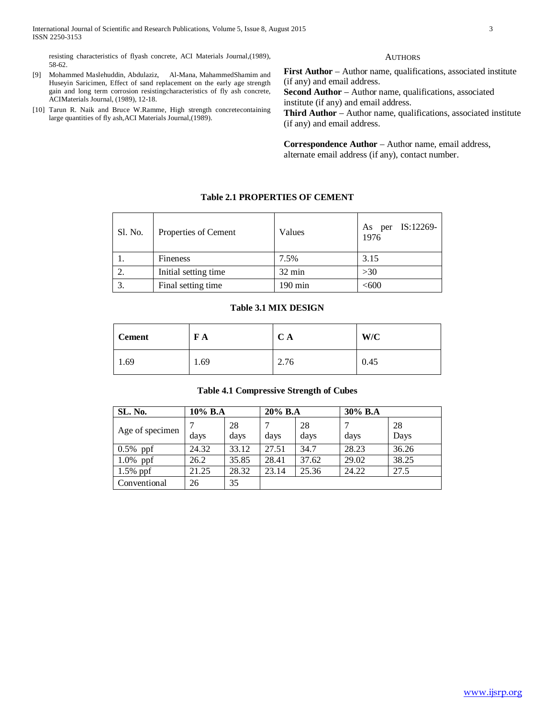resisting characteristics of flyash concrete, ACI Materials Journal,(1989), 58-62.

- [9] Mohammed Maslehuddin, Abdulaziz, Al-Mana, MahammedShamim and Huseyin Saricimen, Effect of sand replacement on the early age strength gain and long term corrosion resistingcharacteristics of fly ash concrete, ACIMaterials Journal, (1989), 12-18.
- [10] Tarun R. Naik and Bruce W.Ramme, High strength concretecontaining large quantities of fly ash,ACI Materials Journal,(1989).

#### **AUTHORS**

**First Author** – Author name, qualifications, associated institute (if any) and email address.

**Second Author** – Author name, qualifications, associated institute (if any) and email address.

**Third Author** – Author name, qualifications, associated institute (if any) and email address.

**Correspondence Author** – Author name, email address, alternate email address (if any), contact number.

# Sl. No. Properties of Cement  $\begin{array}{|l|}\n\hline\n\end{array}$  Values  $\begin{array}{|l|}\n\hline\n\end{array}$  As per IS:12269-1976 1. Fineness 7.5% 3.15

2. Initial setting time  $32 \text{ min}$   $>30$ 3.  $\boxed{\text{Final setting time}}$  190 min  $\left| \right|$  <600

**Table 2.1 PROPERTIES OF CEMENT**

#### **Table 3.1 MIX DESIGN**

| <b>Cement</b> | F A  | $\mathbf C$<br>CА | W/C  |
|---------------|------|-------------------|------|
| 1.69          | 1.69 | 2.76              | 0.45 |

# **Table 4.1 Compressive Strength of Cubes**

| SL. No.         | $10\%$ B.A |            | $20\%$ B.A |            | 30% B.A |            |
|-----------------|------------|------------|------------|------------|---------|------------|
| Age of specimen | days       | 28<br>days | days       | 28<br>days | days    | 28<br>Days |
| $0.5\%$ ppf     | 24.32      | 33.12      | 27.51      | 34.7       | 28.23   | 36.26      |
| $1.0\%$ ppf     | 26.2       | 35.85      | 28.41      | 37.62      | 29.02   | 38.25      |
| $1.5\%$ ppf     | 21.25      | 28.32      | 23.14      | 25.36      | 24.22   | 27.5       |
| Conventional    | 26         | 35         |            |            |         |            |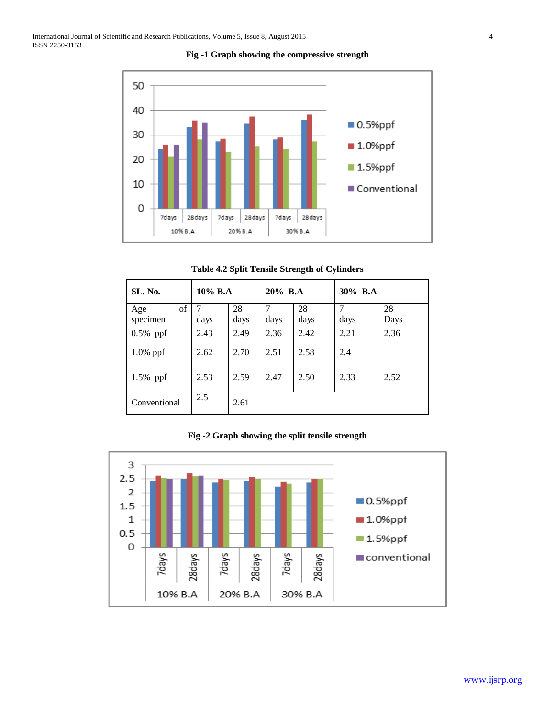

**Fig -1 Graph showing the compressive strength**

| <b>SL. No.</b>        | 10% B.A   |            |           | 20% B.A    | 30% B.A   |            |
|-----------------------|-----------|------------|-----------|------------|-----------|------------|
| of<br>Age<br>specimen | 7<br>days | 28<br>days | 7<br>days | 28<br>days | 7<br>days | 28<br>Days |
| $0.5\%$ ppf           | 2.43      | 2.49       | 2.36      | 2.42       | 2.21      | 2.36       |
| $1.0\%$ ppf           | 2.62      | 2.70       | 2.51      | 2.58       | 2.4       |            |
| 1.5% ppf              | 2.53      | 2.59       | 2.47      | 2.50       | 2.33      | 2.52       |
| Conventional          | 2.5       | 2.61       |           |            |           |            |

**Fig -2 Graph showing the split tensile strength**

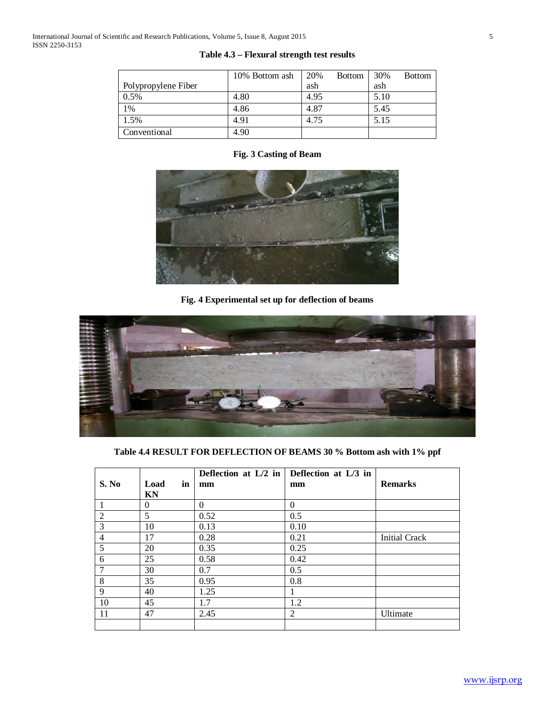|                     | 10% Bottom ash | 20%<br><b>Bottom</b> | 30%<br><b>Bottom</b> |
|---------------------|----------------|----------------------|----------------------|
| Polypropylene Fiber |                | ash                  | ash                  |
| 0.5%                | 4.80           | 4.95                 | 5.10                 |
| 1%                  | 4.86           | 4.87                 | 5.45                 |
| 1.5%                | 4.91           | 4.75                 | 5.15                 |
| Conventional        | 4.90           |                      |                      |

# **Table 4.3 – Flexural strength test results**

# **Fig. 3 Casting of Beam**



**Fig. 4 Experimental set up for deflection of beams**



**Table 4.4 RESULT FOR DEFLECTION OF BEAMS 30 % Bottom ash with 1% ppf**

|                |            | Deflection at $L/2$ in | Deflection at L/3 in |                      |
|----------------|------------|------------------------|----------------------|----------------------|
| S. No          | Load<br>in | mm                     | mm                   | <b>Remarks</b>       |
|                | KN         |                        |                      |                      |
|                | $\Omega$   | $\mathbf{0}$           | $\theta$             |                      |
| $\overline{2}$ | 5          | 0.52                   | 0.5                  |                      |
| 3              | 10         | 0.13                   | 0.10                 |                      |
| $\overline{4}$ | 17         | 0.28                   | 0.21                 | <b>Initial Crack</b> |
| 5              | 20         | 0.35                   | 0.25                 |                      |
| 6              | 25         | 0.58                   | 0.42                 |                      |
|                | 30         | 0.7                    | 0.5                  |                      |
| 8              | 35         | 0.95                   | 0.8                  |                      |
| 9              | 40         | 1.25                   |                      |                      |
| 10             | 45         | 1.7                    | 1.2                  |                      |
| 11             | 47         | 2.45                   | 2                    | Ultimate             |
|                |            |                        |                      |                      |